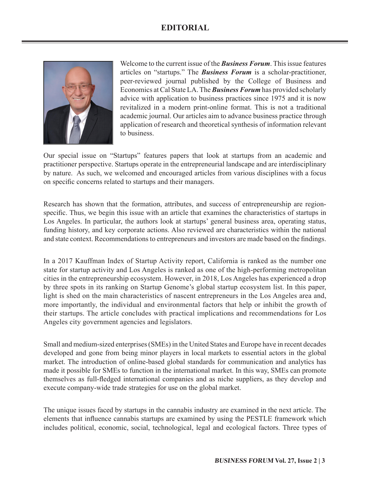## **EDITORIAL**



Welcome to the current issue of the *Business Forum*. This issue features articles on "startups." The *Business Forum* is a scholar-practitioner, peer-reviewed journal published by the College of Business and Economics at Cal State LA. The *Business Forum* has provided scholarly advice with application to business practices since 1975 and it is now revitalized in a modern print-online format. This is not a traditional academic journal. Our articles aim to advance business practice through application of research and theoretical synthesis of information relevant to business.

Our special issue on "Startups" features papers that look at startups from an academic and practitioner perspective. Startups operate in the entrepreneurial landscape and are interdisciplinary by nature. As such, we welcomed and encouraged articles from various disciplines with a focus on specific concerns related to startups and their managers.

Research has shown that the formation, attributes, and success of entrepreneurship are regionspecific. Thus, we begin this issue with an article that examines the characteristics of startups in Los Angeles. In particular, the authors look at startups' general business area, operating status, funding history, and key corporate actions. Also reviewed are characteristics within the national and state context. Recommendations to entrepreneurs and investors are made based on the findings.

In a 2017 Kauffman Index of Startup Activity report, California is ranked as the number one state for startup activity and Los Angeles is ranked as one of the high-performing metropolitan cities in the entrepreneurship ecosystem. However, in 2018, Los Angeles has experienced a drop by three spots in its ranking on Startup Genome's global startup ecosystem list. In this paper, light is shed on the main characteristics of nascent entrepreneurs in the Los Angeles area and, more importantly, the individual and environmental factors that help or inhibit the growth of their startups. The article concludes with practical implications and recommendations for Los Angeles city government agencies and legislators.

Small and medium-sized enterprises (SMEs) in the United States and Europe have in recent decades developed and gone from being minor players in local markets to essential actors in the global market. The introduction of online-based global standards for communication and analytics has made it possible for SMEs to function in the international market. In this way, SMEs can promote themselves as full-fledged international companies and as niche suppliers, as they develop and execute company-wide trade strategies for use on the global market.

The unique issues faced by startups in the cannabis industry are examined in the next article. The elements that influence cannabis startups are examined by using the PESTLE framework which includes political, economic, social, technological, legal and ecological factors. Three types of